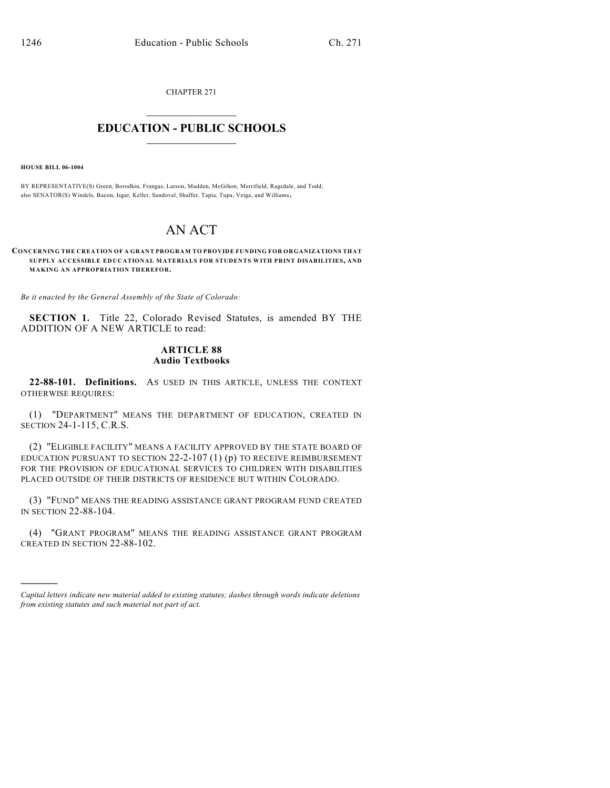CHAPTER 271

## $\mathcal{L}_\text{max}$  . The set of the set of the set of the set of the set of the set of the set of the set of the set of the set of the set of the set of the set of the set of the set of the set of the set of the set of the set **EDUCATION - PUBLIC SCHOOLS**  $\_$   $\_$   $\_$   $\_$   $\_$   $\_$   $\_$   $\_$   $\_$

**HOUSE BILL 06-1004**

)))))

BY REPRESENTATIVE(S) Green, Borodkin, Frangas, Larson, Madden, McGihon, Merrifield, Ragsdale, and Todd; also SENATOR(S) Windels, Bacon, Isgar, Keller, Sandoval, Shaffer, Tapia, Tupa, Veiga, and Williams.

## AN ACT

**CONCERNING THE CREATION OF A GRANT PROGRAM TO PROVIDE FUNDING FOR ORGANIZATIONS THAT SUPPLY ACCESSIBLE EDUCATIONAL MATERIALS FOR STUDENTS WITH PRINT DISABILITIES, AND MAKING AN APPROPRIATION THEREFOR.**

*Be it enacted by the General Assembly of the State of Colorado:*

**SECTION 1.** Title 22, Colorado Revised Statutes, is amended BY THE ADDITION OF A NEW ARTICLE to read:

## **ARTICLE 88 Audio Textbooks**

**22-88-101. Definitions.** AS USED IN THIS ARTICLE, UNLESS THE CONTEXT OTHERWISE REQUIRES:

(1) "DEPARTMENT" MEANS THE DEPARTMENT OF EDUCATION, CREATED IN SECTION 24-1-115, C.R.S.

(2) "ELIGIBLE FACILITY" MEANS A FACILITY APPROVED BY THE STATE BOARD OF EDUCATION PURSUANT TO SECTION  $22$ -2-107 (1) (p) to receive reimbursement FOR THE PROVISION OF EDUCATIONAL SERVICES TO CHILDREN WITH DISABILITIES PLACED OUTSIDE OF THEIR DISTRICTS OF RESIDENCE BUT WITHIN COLORADO.

(3) "FUND" MEANS THE READING ASSISTANCE GRANT PROGRAM FUND CREATED IN SECTION 22-88-104.

(4) "GRANT PROGRAM" MEANS THE READING ASSISTANCE GRANT PROGRAM CREATED IN SECTION 22-88-102.

*Capital letters indicate new material added to existing statutes; dashes through words indicate deletions from existing statutes and such material not part of act.*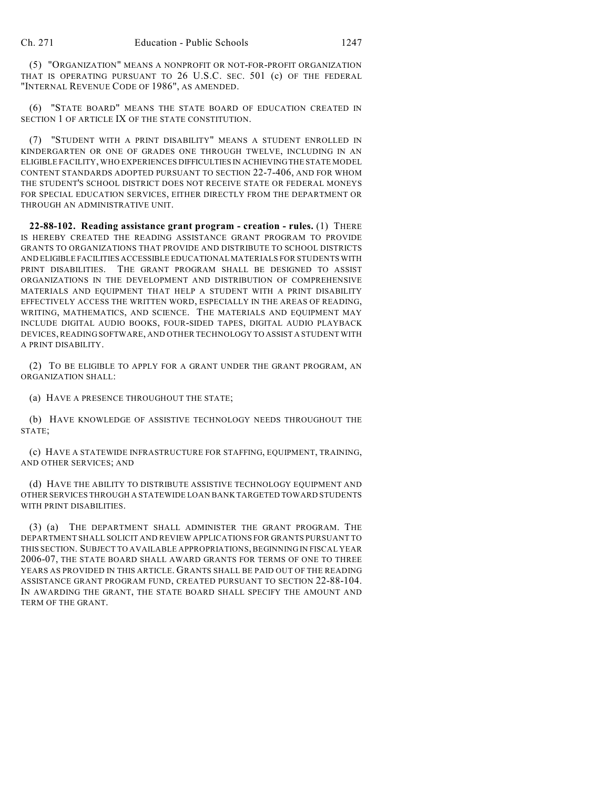(5) "ORGANIZATION" MEANS A NONPROFIT OR NOT-FOR-PROFIT ORGANIZATION THAT IS OPERATING PURSUANT TO 26 U.S.C. SEC. 501 (c) OF THE FEDERAL "INTERNAL REVENUE CODE OF 1986", AS AMENDED.

(6) "STATE BOARD" MEANS THE STATE BOARD OF EDUCATION CREATED IN SECTION 1 OF ARTICLE IX OF THE STATE CONSTITUTION.

(7) "STUDENT WITH A PRINT DISABILITY" MEANS A STUDENT ENROLLED IN KINDERGARTEN OR ONE OF GRADES ONE THROUGH TWELVE, INCLUDING IN AN ELIGIBLE FACILITY, WHO EXPERIENCES DIFFICULTIES IN ACHIEVING THE STATE MODEL CONTENT STANDARDS ADOPTED PURSUANT TO SECTION 22-7-406, AND FOR WHOM THE STUDENT'S SCHOOL DISTRICT DOES NOT RECEIVE STATE OR FEDERAL MONEYS FOR SPECIAL EDUCATION SERVICES, EITHER DIRECTLY FROM THE DEPARTMENT OR THROUGH AN ADMINISTRATIVE UNIT.

**22-88-102. Reading assistance grant program - creation - rules.** (1) THERE IS HEREBY CREATED THE READING ASSISTANCE GRANT PROGRAM TO PROVIDE GRANTS TO ORGANIZATIONS THAT PROVIDE AND DISTRIBUTE TO SCHOOL DISTRICTS AND ELIGIBLE FACILITIES ACCESSIBLE EDUCATIONAL MATERIALS FOR STUDENTS WITH PRINT DISABILITIES. THE GRANT PROGRAM SHALL BE DESIGNED TO ASSIST ORGANIZATIONS IN THE DEVELOPMENT AND DISTRIBUTION OF COMPREHENSIVE MATERIALS AND EQUIPMENT THAT HELP A STUDENT WITH A PRINT DISABILITY EFFECTIVELY ACCESS THE WRITTEN WORD, ESPECIALLY IN THE AREAS OF READING, WRITING, MATHEMATICS, AND SCIENCE. THE MATERIALS AND EQUIPMENT MAY INCLUDE DIGITAL AUDIO BOOKS, FOUR-SIDED TAPES, DIGITAL AUDIO PLAYBACK DEVICES, READING SOFTWARE, AND OTHER TECHNOLOGY TO ASSIST A STUDENT WITH A PRINT DISABILITY.

(2) TO BE ELIGIBLE TO APPLY FOR A GRANT UNDER THE GRANT PROGRAM, AN ORGANIZATION SHALL:

(a) HAVE A PRESENCE THROUGHOUT THE STATE;

(b) HAVE KNOWLEDGE OF ASSISTIVE TECHNOLOGY NEEDS THROUGHOUT THE STATE;

(c) HAVE A STATEWIDE INFRASTRUCTURE FOR STAFFING, EQUIPMENT, TRAINING, AND OTHER SERVICES; AND

(d) HAVE THE ABILITY TO DISTRIBUTE ASSISTIVE TECHNOLOGY EQUIPMENT AND OTHER SERVICES THROUGH A STATEWIDE LOAN BANK TARGETED TOWARD STUDENTS WITH PRINT DISABILITIES.

(3) (a) THE DEPARTMENT SHALL ADMINISTER THE GRANT PROGRAM. THE DEPARTMENT SHALL SOLICIT AND REVIEW APPLICATIONS FOR GRANTS PURSUANT TO THIS SECTION. SUBJECT TO AVAILABLE APPROPRIATIONS, BEGINNING IN FISCAL YEAR 2006-07, THE STATE BOARD SHALL AWARD GRANTS FOR TERMS OF ONE TO THREE YEARS AS PROVIDED IN THIS ARTICLE. GRANTS SHALL BE PAID OUT OF THE READING ASSISTANCE GRANT PROGRAM FUND, CREATED PURSUANT TO SECTION 22-88-104. IN AWARDING THE GRANT, THE STATE BOARD SHALL SPECIFY THE AMOUNT AND TERM OF THE GRANT.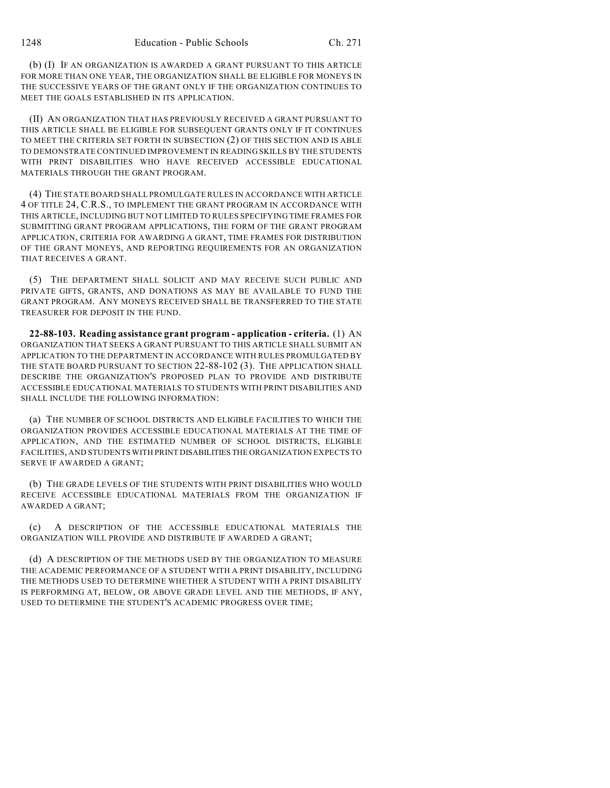(b) (I) IF AN ORGANIZATION IS AWARDED A GRANT PURSUANT TO THIS ARTICLE FOR MORE THAN ONE YEAR, THE ORGANIZATION SHALL BE ELIGIBLE FOR MONEYS IN THE SUCCESSIVE YEARS OF THE GRANT ONLY IF THE ORGANIZATION CONTINUES TO MEET THE GOALS ESTABLISHED IN ITS APPLICATION.

(II) AN ORGANIZATION THAT HAS PREVIOUSLY RECEIVED A GRANT PURSUANT TO THIS ARTICLE SHALL BE ELIGIBLE FOR SUBSEQUENT GRANTS ONLY IF IT CONTINUES TO MEET THE CRITERIA SET FORTH IN SUBSECTION (2) OF THIS SECTION AND IS ABLE TO DEMONSTRATE CONTINUED IMPROVEMENT IN READING SKILLS BY THE STUDENTS WITH PRINT DISABILITIES WHO HAVE RECEIVED ACCESSIBLE EDUCATIONAL MATERIALS THROUGH THE GRANT PROGRAM.

(4) THE STATE BOARD SHALL PROMULGATE RULES IN ACCORDANCE WITH ARTICLE 4 OF TITLE 24, C.R.S., TO IMPLEMENT THE GRANT PROGRAM IN ACCORDANCE WITH THIS ARTICLE, INCLUDING BUT NOT LIMITED TO RULES SPECIFYING TIME FRAMES FOR SUBMITTING GRANT PROGRAM APPLICATIONS, THE FORM OF THE GRANT PROGRAM APPLICATION, CRITERIA FOR AWARDING A GRANT, TIME FRAMES FOR DISTRIBUTION OF THE GRANT MONEYS, AND REPORTING REQUIREMENTS FOR AN ORGANIZATION THAT RECEIVES A GRANT.

(5) THE DEPARTMENT SHALL SOLICIT AND MAY RECEIVE SUCH PUBLIC AND PRIVATE GIFTS, GRANTS, AND DONATIONS AS MAY BE AVAILABLE TO FUND THE GRANT PROGRAM. ANY MONEYS RECEIVED SHALL BE TRANSFERRED TO THE STATE TREASURER FOR DEPOSIT IN THE FUND.

**22-88-103. Reading assistance grant program - application - criteria.** (1) AN ORGANIZATION THAT SEEKS A GRANT PURSUANT TO THIS ARTICLE SHALL SUBMIT AN APPLICATION TO THE DEPARTMENT IN ACCORDANCE WITH RULES PROMULGATED BY THE STATE BOARD PURSUANT TO SECTION 22-88-102 (3). THE APPLICATION SHALL DESCRIBE THE ORGANIZATION'S PROPOSED PLAN TO PROVIDE AND DISTRIBUTE ACCESSIBLE EDUCATIONAL MATERIALS TO STUDENTS WITH PRINT DISABILITIES AND SHALL INCLUDE THE FOLLOWING INFORMATION:

(a) THE NUMBER OF SCHOOL DISTRICTS AND ELIGIBLE FACILITIES TO WHICH THE ORGANIZATION PROVIDES ACCESSIBLE EDUCATIONAL MATERIALS AT THE TIME OF APPLICATION, AND THE ESTIMATED NUMBER OF SCHOOL DISTRICTS, ELIGIBLE FACILITIES, AND STUDENTS WITH PRINT DISABILITIES THE ORGANIZATION EXPECTS TO SERVE IF AWARDED A GRANT;

(b) THE GRADE LEVELS OF THE STUDENTS WITH PRINT DISABILITIES WHO WOULD RECEIVE ACCESSIBLE EDUCATIONAL MATERIALS FROM THE ORGANIZATION IF AWARDED A GRANT;

A DESCRIPTION OF THE ACCESSIBLE EDUCATIONAL MATERIALS THE ORGANIZATION WILL PROVIDE AND DISTRIBUTE IF AWARDED A GRANT;

(d) A DESCRIPTION OF THE METHODS USED BY THE ORGANIZATION TO MEASURE THE ACADEMIC PERFORMANCE OF A STUDENT WITH A PRINT DISABILITY, INCLUDING THE METHODS USED TO DETERMINE WHETHER A STUDENT WITH A PRINT DISABILITY IS PERFORMING AT, BELOW, OR ABOVE GRADE LEVEL AND THE METHODS, IF ANY, USED TO DETERMINE THE STUDENT'S ACADEMIC PROGRESS OVER TIME;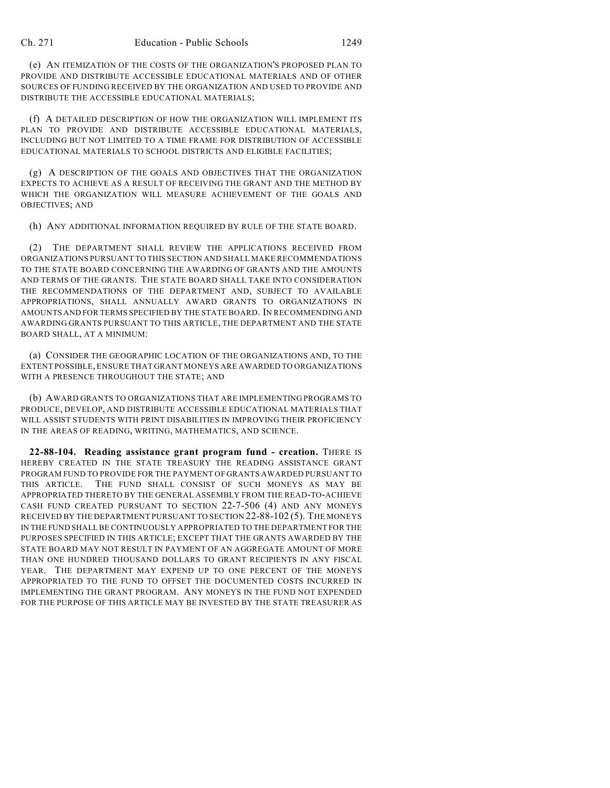(e) AN ITEMIZATION OF THE COSTS OF THE ORGANIZATION'S PROPOSED PLAN TO PROVIDE AND DISTRIBUTE ACCESSIBLE EDUCATIONAL MATERIALS AND OF OTHER SOURCES OF FUNDING RECEIVED BY THE ORGANIZATION AND USED TO PROVIDE AND DISTRIBUTE THE ACCESSIBLE EDUCATIONAL MATERIALS;

(f) A DETAILED DESCRIPTION OF HOW THE ORGANIZATION WILL IMPLEMENT ITS PLAN TO PROVIDE AND DISTRIBUTE ACCESSIBLE EDUCATIONAL MATERIALS, INCLUDING BUT NOT LIMITED TO A TIME FRAME FOR DISTRIBUTION OF ACCESSIBLE EDUCATIONAL MATERIALS TO SCHOOL DISTRICTS AND ELIGIBLE FACILITIES;

(g) A DESCRIPTION OF THE GOALS AND OBJECTIVES THAT THE ORGANIZATION EXPECTS TO ACHIEVE AS A RESULT OF RECEIVING THE GRANT AND THE METHOD BY WHICH THE ORGANIZATION WILL MEASURE ACHIEVEMENT OF THE GOALS AND OBJECTIVES; AND

(h) ANY ADDITIONAL INFORMATION REQUIRED BY RULE OF THE STATE BOARD.

(2) THE DEPARTMENT SHALL REVIEW THE APPLICATIONS RECEIVED FROM ORGANIZATIONS PURSUANT TO THIS SECTION AND SHALL MAKE RECOMMENDATIONS TO THE STATE BOARD CONCERNING THE AWARDING OF GRANTS AND THE AMOUNTS AND TERMS OF THE GRANTS. THE STATE BOARD SHALL TAKE INTO CONSIDERATION THE RECOMMENDATIONS OF THE DEPARTMENT AND, SUBJECT TO AVAILABLE APPROPRIATIONS, SHALL ANNUALLY AWARD GRANTS TO ORGANIZATIONS IN AMOUNTS AND FOR TERMS SPECIFIED BY THE STATE BOARD. IN RECOMMENDING AND AWARDING GRANTS PURSUANT TO THIS ARTICLE, THE DEPARTMENT AND THE STATE BOARD SHALL, AT A MINIMUM:

(a) CONSIDER THE GEOGRAPHIC LOCATION OF THE ORGANIZATIONS AND, TO THE EXTENT POSSIBLE, ENSURE THAT GRANT MONEYS ARE AWARDED TO ORGANIZATIONS WITH A PRESENCE THROUGHOUT THE STATE; AND

(b) AWARD GRANTS TO ORGANIZATIONS THAT ARE IMPLEMENTING PROGRAMS TO PRODUCE, DEVELOP, AND DISTRIBUTE ACCESSIBLE EDUCATIONAL MATERIALS THAT WILL ASSIST STUDENTS WITH PRINT DISABILITIES IN IMPROVING THEIR PROFICIENCY IN THE AREAS OF READING, WRITING, MATHEMATICS, AND SCIENCE.

**22-88-104. Reading assistance grant program fund - creation.** THERE IS HEREBY CREATED IN THE STATE TREASURY THE READING ASSISTANCE GRANT PROGRAM FUND TO PROVIDE FOR THE PAYMENT OF GRANTS AWARDED PURSUANT TO THIS ARTICLE. THE FUND SHALL CONSIST OF SUCH MONEYS AS MAY BE APPROPRIATED THERETO BY THE GENERAL ASSEMBLY FROM THE READ-TO-ACHIEVE CASH FUND CREATED PURSUANT TO SECTION 22-7-506 (4) AND ANY MONEYS RECEIVED BY THE DEPARTMENT PURSUANT TO SECTION 22-88-102 (5). THE MONEYS IN THE FUND SHALL BE CONTINUOUSLY APPROPRIATED TO THE DEPARTMENT FOR THE PURPOSES SPECIFIED IN THIS ARTICLE; EXCEPT THAT THE GRANTS AWARDED BY THE STATE BOARD MAY NOT RESULT IN PAYMENT OF AN AGGREGATE AMOUNT OF MORE THAN ONE HUNDRED THOUSAND DOLLARS TO GRANT RECIPIENTS IN ANY FISCAL YEAR. THE DEPARTMENT MAY EXPEND UP TO ONE PERCENT OF THE MONEYS APPROPRIATED TO THE FUND TO OFFSET THE DOCUMENTED COSTS INCURRED IN IMPLEMENTING THE GRANT PROGRAM. ANY MONEYS IN THE FUND NOT EXPENDED FOR THE PURPOSE OF THIS ARTICLE MAY BE INVESTED BY THE STATE TREASURER AS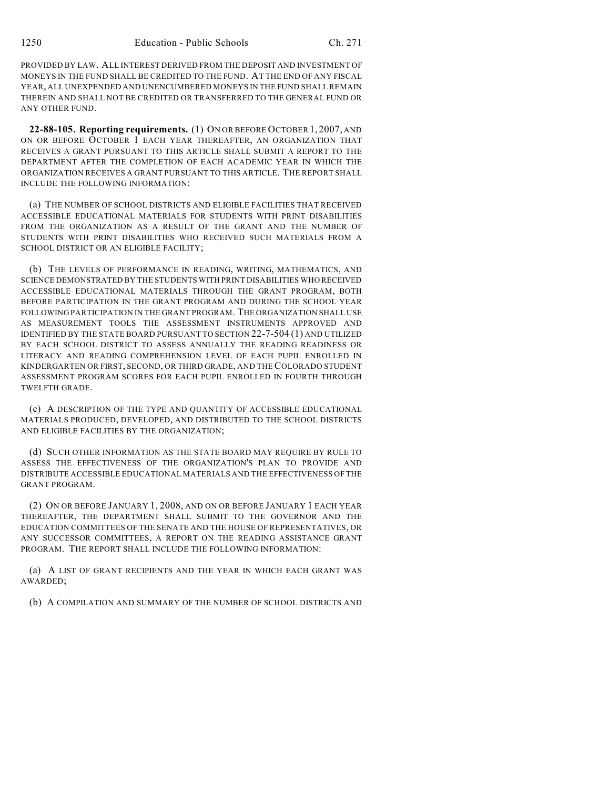PROVIDED BY LAW. ALL INTEREST DERIVED FROM THE DEPOSIT AND INVESTMENT OF MONEYS IN THE FUND SHALL BE CREDITED TO THE FUND. AT THE END OF ANY FISCAL YEAR, ALL UNEXPENDED AND UNENCUMBERED MONEYS IN THE FUND SHALL REMAIN THEREIN AND SHALL NOT BE CREDITED OR TRANSFERRED TO THE GENERAL FUND OR ANY OTHER FUND.

**22-88-105. Reporting requirements.** (1) ON OR BEFORE OCTOBER 1, 2007, AND ON OR BEFORE OCTOBER 1 EACH YEAR THEREAFTER, AN ORGANIZATION THAT RECEIVES A GRANT PURSUANT TO THIS ARTICLE SHALL SUBMIT A REPORT TO THE DEPARTMENT AFTER THE COMPLETION OF EACH ACADEMIC YEAR IN WHICH THE ORGANIZATION RECEIVES A GRANT PURSUANT TO THIS ARTICLE. THE REPORT SHALL INCLUDE THE FOLLOWING INFORMATION:

(a) THE NUMBER OF SCHOOL DISTRICTS AND ELIGIBLE FACILITIES THAT RECEIVED ACCESSIBLE EDUCATIONAL MATERIALS FOR STUDENTS WITH PRINT DISABILITIES FROM THE ORGANIZATION AS A RESULT OF THE GRANT AND THE NUMBER OF STUDENTS WITH PRINT DISABILITIES WHO RECEIVED SUCH MATERIALS FROM A SCHOOL DISTRICT OR AN ELIGIBLE FACILITY;

(b) THE LEVELS OF PERFORMANCE IN READING, WRITING, MATHEMATICS, AND SCIENCE DEMONSTRATED BY THE STUDENTS WITH PRINT DISABILITIES WHO RECEIVED ACCESSIBLE EDUCATIONAL MATERIALS THROUGH THE GRANT PROGRAM, BOTH BEFORE PARTICIPATION IN THE GRANT PROGRAM AND DURING THE SCHOOL YEAR FOLLOWING PARTICIPATION IN THE GRANT PROGRAM. THE ORGANIZATION SHALL USE AS MEASUREMENT TOOLS THE ASSESSMENT INSTRUMENTS APPROVED AND IDENTIFIED BY THE STATE BOARD PURSUANT TO SECTION 22-7-504 (1) AND UTILIZED BY EACH SCHOOL DISTRICT TO ASSESS ANNUALLY THE READING READINESS OR LITERACY AND READING COMPREHENSION LEVEL OF EACH PUPIL ENROLLED IN KINDERGARTEN OR FIRST, SECOND, OR THIRD GRADE, AND THE COLORADO STUDENT ASSESSMENT PROGRAM SCORES FOR EACH PUPIL ENROLLED IN FOURTH THROUGH TWELFTH GRADE.

(c) A DESCRIPTION OF THE TYPE AND QUANTITY OF ACCESSIBLE EDUCATIONAL MATERIALS PRODUCED, DEVELOPED, AND DISTRIBUTED TO THE SCHOOL DISTRICTS AND ELIGIBLE FACILITIES BY THE ORGANIZATION;

(d) SUCH OTHER INFORMATION AS THE STATE BOARD MAY REQUIRE BY RULE TO ASSESS THE EFFECTIVENESS OF THE ORGANIZATION'S PLAN TO PROVIDE AND DISTRIBUTE ACCESSIBLE EDUCATIONAL MATERIALS AND THE EFFECTIVENESS OF THE GRANT PROGRAM.

(2) ON OR BEFORE JANUARY 1, 2008, AND ON OR BEFORE JANUARY 1 EACH YEAR THEREAFTER, THE DEPARTMENT SHALL SUBMIT TO THE GOVERNOR AND THE EDUCATION COMMITTEES OF THE SENATE AND THE HOUSE OF REPRESENTATIVES, OR ANY SUCCESSOR COMMITTEES, A REPORT ON THE READING ASSISTANCE GRANT PROGRAM. THE REPORT SHALL INCLUDE THE FOLLOWING INFORMATION:

(a) A LIST OF GRANT RECIPIENTS AND THE YEAR IN WHICH EACH GRANT WAS AWARDED;

(b) A COMPILATION AND SUMMARY OF THE NUMBER OF SCHOOL DISTRICTS AND